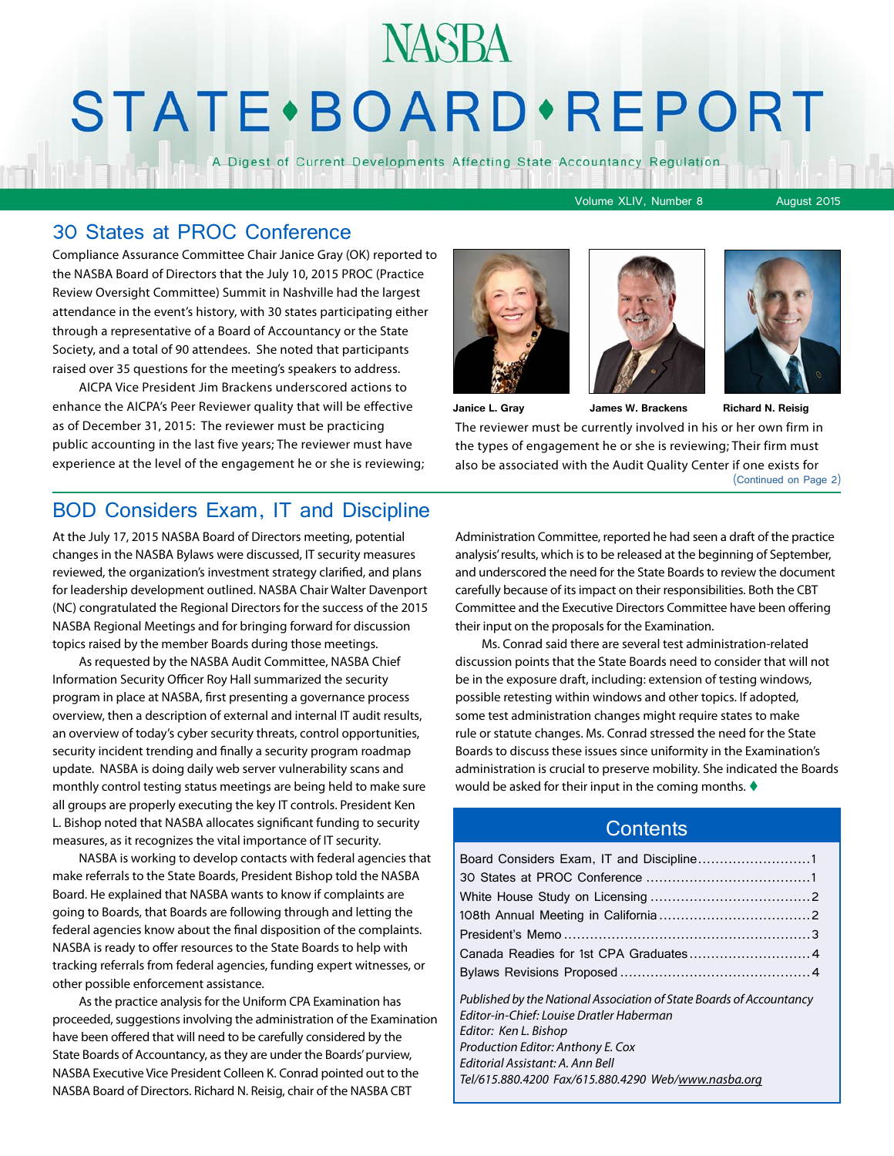# **NASBA STATE** · BOARD · REPORT

A Digest of Current Developments Affecting State Accountancy Regulation

Volume XLIV, Number 8 August 2015

#### 30 States at PROC Conference

Compliance Assurance Committee Chair Janice Gray (OK) reported to the NASBA Board of Directors that the July 10, 2015 PROC (Practice Review Oversight Committee) Summit in Nashville had the largest attendance in the event's history, with 30 states participating either through a representative of a Board of Accountancy or the State Society, and a total of 90 attendees. She noted that participants raised over 35 questions for the meeting's speakers to address.

AICPA Vice President Jim Brackens underscored actions to enhance the AICPA's Peer Reviewer quality that will be effective as of December 31, 2015: The reviewer must be practicing public accounting in the last five years; The reviewer must have experience at the level of the engagement he or she is reviewing;







The reviewer must be currently involved in his or her own firm in the types of engagement he or she is reviewing; Their firm must also be associated with the Audit Quality Center if one exists for **Janice L. Gray** (Continued on Page 2) **James W. Brackens Richard N. Reisig**

#### BOD Considers Exam, IT and Discipline

At the July 17, 2015 NASBA Board of Directors meeting, potential changes in the NASBA Bylaws were discussed, IT security measures reviewed, the organization's investment strategy clarified, and plans for leadership development outlined. NASBA Chair Walter Davenport (NC) congratulated the Regional Directors for the success of the 2015 NASBA Regional Meetings and for bringing forward for discussion topics raised by the member Boards during those meetings.

As requested by the NASBA Audit Committee, NASBA Chief Information Security Officer Roy Hall summarized the security program in place at NASBA, first presenting a governance process overview, then a description of external and internal IT audit results, an overview of today's cyber security threats, control opportunities, security incident trending and finally a security program roadmap update. NASBA is doing daily web server vulnerability scans and monthly control testing status meetings are being held to make sure all groups are properly executing the key IT controls. President Ken L. Bishop noted that NASBA allocates significant funding to security measures, as it recognizes the vital importance of IT security.

NASBA is working to develop contacts with federal agencies that make referrals to the State Boards, President Bishop told the NASBA Board. He explained that NASBA wants to know if complaints are going to Boards, that Boards are following through and letting the federal agencies know about the final disposition of the complaints. NASBA is ready to offer resources to the State Boards to help with tracking referrals from federal agencies, funding expert witnesses, or other possible enforcement assistance.

As the practice analysis for the Uniform CPA Examination has proceeded, suggestions involving the administration of the Examination have been offered that will need to be carefully considered by the State Boards of Accountancy, as they are under the Boards' purview, NASBA Executive Vice President Colleen K. Conrad pointed out to the NASBA Board of Directors. Richard N. Reisig, chair of the NASBA CBT

Administration Committee, reported he had seen a draft of the practice analysis' results, which is to be released at the beginning of September, and underscored the need for the State Boards to review the document carefully because of its impact on their responsibilities. Both the CBT Committee and the Executive Directors Committee have been offering their input on the proposals for the Examination.

Ms. Conrad said there are several test administration-related discussion points that the State Boards need to consider that will not be in the exposure draft, including: extension of testing windows, possible retesting within windows and other topics. If adopted, some test administration changes might require states to make rule or statute changes. Ms. Conrad stressed the need for the State Boards to discuss these issues since uniformity in the Examination's administration is crucial to preserve mobility. She indicated the Boards would be asked for their input in the coming months.  $\blacklozenge$ 

#### **Contents**

| Published by the National Association of State Boards of Accountancy<br>Editor-in-Chief: Louise Dratler Haberman<br>Editor: Ken L. Bishop |
|-------------------------------------------------------------------------------------------------------------------------------------------|
| Production Editor: Anthony E. Cox                                                                                                         |
| Editorial Assistant: A. Ann Bell                                                                                                          |
| Tel/615.880.4200 Fax/615.880.4290 Web/www.nasba.ora                                                                                       |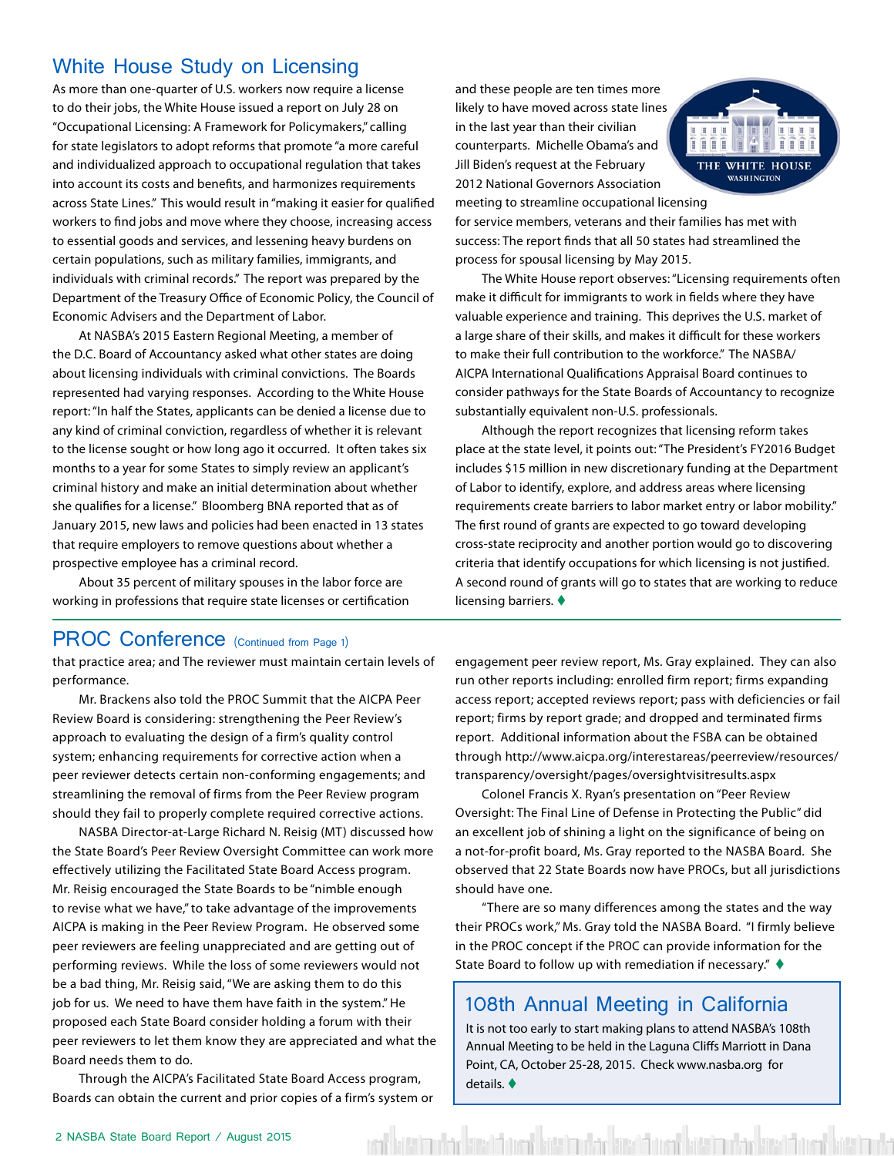#### <span id="page-1-0"></span>White House Study on Licensing

As more than one-quarter of U.S. workers now require a license to do their jobs, the White House issued a report on July 28 on "Occupational Licensing: A Framework for Policymakers," calling for state legislators to adopt reforms that promote "a more careful and individualized approach to occupational regulation that takes into account its costs and benefits, and harmonizes requirements across State Lines." This would result in "making it easier for qualified workers to find jobs and move where they choose, increasing access to essential goods and services, and lessening heavy burdens on certain populations, such as military families, immigrants, and individuals with criminal records." The report was prepared by the Department of the Treasury Office of Economic Policy, the Council of Economic Advisers and the Department of Labor.

At NASBA's 2015 Eastern Regional Meeting, a member of the D.C. Board of Accountancy asked what other states are doing about licensing individuals with criminal convictions. The Boards represented had varying responses. According to the White House report: "In half the States, applicants can be denied a license due to any kind of criminal conviction, regardless of whether it is relevant to the license sought or how long ago it occurred. It often takes six months to a year for some States to simply review an applicant's criminal history and make an initial determination about whether she qualifies for a license." Bloomberg BNA reported that as of January 2015, new laws and policies had been enacted in 13 states that require employers to remove questions about whether a prospective employee has a criminal record.

About 35 percent of military spouses in the labor force are working in professions that require state licenses or certification

#### PROC Conference (Continued from Page 1)

that practice area; and The reviewer must maintain certain levels of performance.

Mr. Brackens also told the PROC Summit that the AICPA Peer Review Board is considering: strengthening the Peer Review's approach to evaluating the design of a firm's quality control system; enhancing requirements for corrective action when a peer reviewer detects certain non-conforming engagements; and streamlining the removal of firms from the Peer Review program should they fail to properly complete required corrective actions.

NASBA Director-at-Large Richard N. Reisig (MT) discussed how the State Board's Peer Review Oversight Committee can work more effectively utilizing the Facilitated State Board Access program. Mr. Reisig encouraged the State Boards to be "nimble enough to revise what we have," to take advantage of the improvements AICPA is making in the Peer Review Program. He observed some peer reviewers are feeling unappreciated and are getting out of performing reviews. While the loss of some reviewers would not be a bad thing, Mr. Reisig said, "We are asking them to do this job for us. We need to have them have faith in the system." He proposed each State Board consider holding a forum with their peer reviewers to let them know they are appreciated and what the Board needs them to do.

Through the AICPA's Facilitated State Board Access program, Boards can obtain the current and prior copies of a firm's system or and these people are ten times more likely to have moved across state lines in the last year than their civilian counterparts. Michelle Obama's and Jill Biden's request at the February 2012 National Governors Association meeting to streamline occupational licensing



for service members, veterans and their families has met with success: The report finds that all 50 states had streamlined the process for spousal licensing by May 2015.

The White House report observes: "Licensing requirements often make it difficult for immigrants to work in fields where they have valuable experience and training. This deprives the U.S. market of a large share of their skills, and makes it difficult for these workers to make their full contribution to the workforce." The NASBA/ AICPA International Qualifications Appraisal Board continues to consider pathways for the State Boards of Accountancy to recognize substantially equivalent non-U.S. professionals.

Although the report recognizes that licensing reform takes place at the state level, it points out: "The President's FY2016 Budget includes \$15 million in new discretionary funding at the Department of Labor to identify, explore, and address areas where licensing requirements create barriers to labor market entry or labor mobility." The first round of grants are expected to go toward developing cross-state reciprocity and another portion would go to discovering criteria that identify occupations for which licensing is not justified. A second round of grants will go to states that are working to reduce licensing barriers.  $\blacklozenge$ 

engagement peer review report, Ms. Gray explained. They can also run other reports including: enrolled firm report; firms expanding access report; accepted reviews report; pass with deficiencies or fail report; firms by report grade; and dropped and terminated firms report. Additional information about the FSBA can be obtained through [http://www.aicpa.org/interestareas/peerreview/resources/](http://www.aicpa.org/interestareas/peerreview/resources/transparency/oversight/pages/oversightvisitr) [transparency/oversight/pages/oversightvisitresults.aspx](http://www.aicpa.org/interestareas/peerreview/resources/transparency/oversight/pages/oversightvisitr)

Colonel Francis X. Ryan's presentation on "Peer Review Oversight: The Final Line of Defense in Protecting the Public" did an excellent job of shining a light on the significance of being on a not-for-profit board, Ms. Gray reported to the NASBA Board. She observed that 22 State Boards now have PROCs, but all jurisdictions should have one.

"There are so many differences among the states and the way their PROCs work," Ms. Gray told the NASBA Board. "I firmly believe in the PROC concept if the PROC can provide information for the State Board to follow up with remediation if necessary."  $\blacklozenge$ 

#### 108th Annual Meeting in California

It is not too early to start making plans to attend NASBA's 108th Annual Meeting to be held in the Laguna Cliffs Marriott in Dana Point, CA, October 25-28, 2015. Check www.nasba.org for details.  $\blacklozenge$ 

kita'nı dan közülünen bita'nı dan kitab üna bita'nı dan kitab dana bita'nı da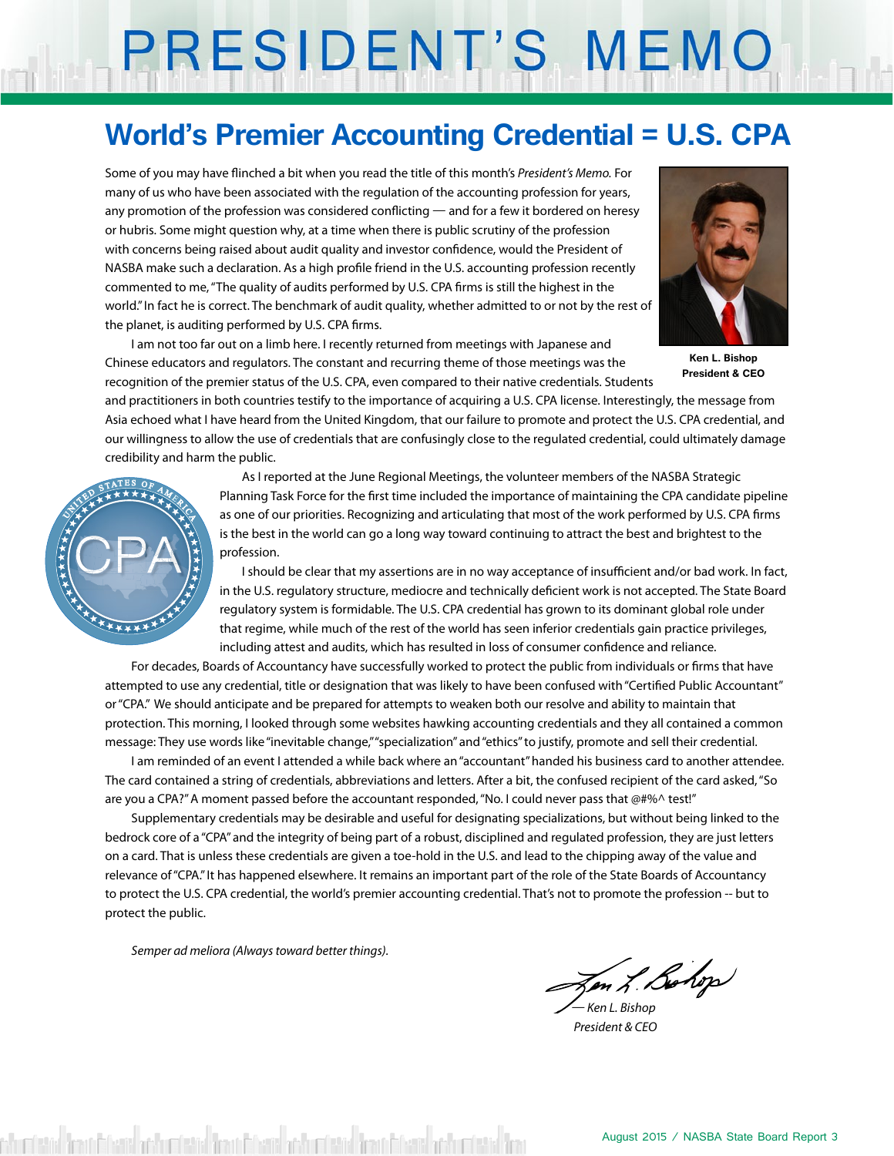# PRESIDENT'S MEMO

### **World's Premier Accounting Credential = U.S. CPA**

Some of you may have flinched a bit when you read the title of this month's *President's Memo.* For many of us who have been associated with the regulation of the accounting profession for years, any promotion of the profession was considered conflicting — and for a few it bordered on heresy or hubris. Some might question why, at a time when there is public scrutiny of the profession with concerns being raised about audit quality and investor confidence, would the President of NASBA make such a declaration. As a high profile friend in the U.S. accounting profession recently commented to me, "The quality of audits performed by U.S. CPA firms is still the highest in the world." In fact he is correct. The benchmark of audit quality, whether admitted to or not by the rest of the planet, is auditing performed by U.S. CPA firms.

I am not too far out on a limb here. I recently returned from meetings with Japanese and Chinese educators and regulators. The constant and recurring theme of those meetings was the recognition of the premier status of the U.S. CPA, even compared to their native credentials. Students



**Ken L. Bishop President & CEO**

and practitioners in both countries testify to the importance of acquiring a U.S. CPA license. Interestingly, the message from Asia echoed what I have heard from the United Kingdom, that our failure to promote and protect the U.S. CPA credential, and our willingness to allow the use of credentials that are confusingly close to the regulated credential, could ultimately damage credibility and harm the public.



 As I reported at the June Regional Meetings, the volunteer members of the NASBA Strategic Planning Task Force for the first time included the importance of maintaining the CPA candidate pipeline as one of our priorities. Recognizing and articulating that most of the work performed by U.S. CPA firms is the best in the world can go a long way toward continuing to attract the best and brightest to the profession.

 I should be clear that my assertions are in no way acceptance of insufficient and/or bad work. In fact, in the U.S. regulatory structure, mediocre and technically deficient work is not accepted. The State Board regulatory system is formidable. The U.S. CPA credential has grown to its dominant global role under that regime, while much of the rest of the world has seen inferior credentials gain practice privileges, including attest and audits, which has resulted in loss of consumer confidence and reliance.

For decades, Boards of Accountancy have successfully worked to protect the public from individuals or firms that have attempted to use any credential, title or designation that was likely to have been confused with "Certified Public Accountant" or "CPA." We should anticipate and be prepared for attempts to weaken both our resolve and ability to maintain that protection. This morning, I looked through some websites hawking accounting credentials and they all contained a common message: They use words like "inevitable change," "specialization" and "ethics" to justify, promote and sell their credential.

I am reminded of an event I attended a while back where an "accountant" handed his business card to another attendee. The card contained a string of credentials, abbreviations and letters. After a bit, the confused recipient of the card asked, "So are you a CPA?" A moment passed before the accountant responded, "No. I could never pass that @#%^ test!"

Supplementary credentials may be desirable and useful for designating specializations, but without being linked to the bedrock core of a "CPA" and the integrity of being part of a robust, disciplined and regulated profession, they are just letters on a card. That is unless these credentials are given a toe-hold in the U.S. and lead to the chipping away of the value and relevance of "CPA." It has happened elsewhere. It remains an important part of the role of the State Boards of Accountancy to protect the U.S. CPA credential, the world's premier accounting credential. That's not to promote the profession -- but to protect the public.

*Semper ad meliora (Always toward better things).*

en L. Bohop

*— Ken L. Bishop President & CEO*

stöd fram filmað þóður ístöd fram filmað þóður ístöd fram filmað þóður ístöd fra